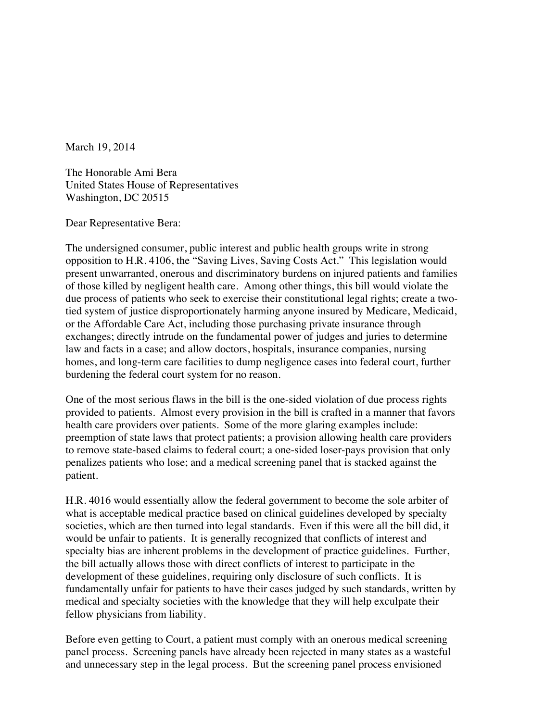March 19, 2014

The Honorable Ami Bera United States House of Representatives Washington, DC 20515

Dear Representative Bera:

The undersigned consumer, public interest and public health groups write in strong opposition to H.R. 4106, the "Saving Lives, Saving Costs Act." This legislation would present unwarranted, onerous and discriminatory burdens on injured patients and families of those killed by negligent health care. Among other things, this bill would violate the due process of patients who seek to exercise their constitutional legal rights; create a twotied system of justice disproportionately harming anyone insured by Medicare, Medicaid, or the Affordable Care Act, including those purchasing private insurance through exchanges; directly intrude on the fundamental power of judges and juries to determine law and facts in a case; and allow doctors, hospitals, insurance companies, nursing homes, and long-term care facilities to dump negligence cases into federal court, further burdening the federal court system for no reason.

One of the most serious flaws in the bill is the one-sided violation of due process rights provided to patients. Almost every provision in the bill is crafted in a manner that favors health care providers over patients. Some of the more glaring examples include: preemption of state laws that protect patients; a provision allowing health care providers to remove state-based claims to federal court; a one-sided loser-pays provision that only penalizes patients who lose; and a medical screening panel that is stacked against the patient.

H.R. 4016 would essentially allow the federal government to become the sole arbiter of what is acceptable medical practice based on clinical guidelines developed by specialty societies, which are then turned into legal standards. Even if this were all the bill did, it would be unfair to patients. It is generally recognized that conflicts of interest and specialty bias are inherent problems in the development of practice guidelines. Further, the bill actually allows those with direct conflicts of interest to participate in the development of these guidelines, requiring only disclosure of such conflicts. It is fundamentally unfair for patients to have their cases judged by such standards, written by medical and specialty societies with the knowledge that they will help exculpate their fellow physicians from liability.

Before even getting to Court, a patient must comply with an onerous medical screening panel process. Screening panels have already been rejected in many states as a wasteful and unnecessary step in the legal process. But the screening panel process envisioned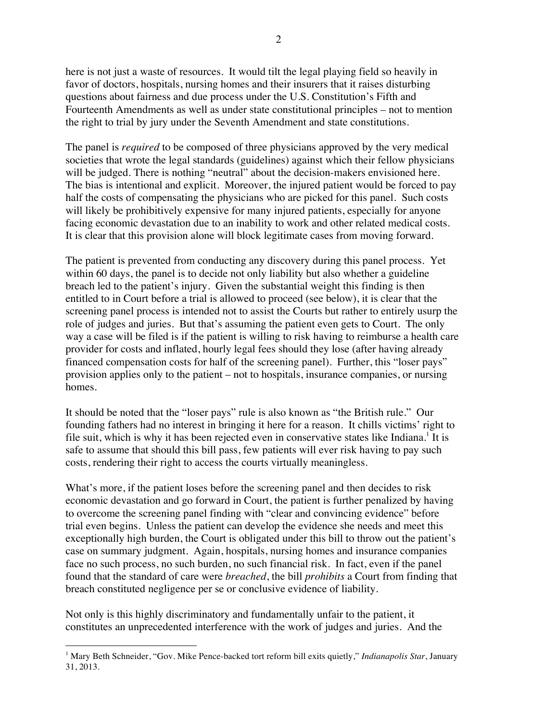here is not just a waste of resources. It would tilt the legal playing field so heavily in favor of doctors, hospitals, nursing homes and their insurers that it raises disturbing questions about fairness and due process under the U.S. Constitution's Fifth and Fourteenth Amendments as well as under state constitutional principles – not to mention the right to trial by jury under the Seventh Amendment and state constitutions.

The panel is *required* to be composed of three physicians approved by the very medical societies that wrote the legal standards (guidelines) against which their fellow physicians will be judged. There is nothing "neutral" about the decision-makers envisioned here. The bias is intentional and explicit. Moreover, the injured patient would be forced to pay half the costs of compensating the physicians who are picked for this panel. Such costs will likely be prohibitively expensive for many injured patients, especially for anyone facing economic devastation due to an inability to work and other related medical costs. It is clear that this provision alone will block legitimate cases from moving forward.

The patient is prevented from conducting any discovery during this panel process. Yet within 60 days, the panel is to decide not only liability but also whether a guideline breach led to the patient's injury. Given the substantial weight this finding is then entitled to in Court before a trial is allowed to proceed (see below), it is clear that the screening panel process is intended not to assist the Courts but rather to entirely usurp the role of judges and juries. But that's assuming the patient even gets to Court. The only way a case will be filed is if the patient is willing to risk having to reimburse a health care provider for costs and inflated, hourly legal fees should they lose (after having already financed compensation costs for half of the screening panel). Further, this "loser pays" provision applies only to the patient – not to hospitals, insurance companies, or nursing homes.

It should be noted that the "loser pays" rule is also known as "the British rule." Our founding fathers had no interest in bringing it here for a reason. It chills victims' right to file suit, which is why it has been rejected even in conservative states like Indiana.<sup>1</sup> It is safe to assume that should this bill pass, few patients will ever risk having to pay such costs, rendering their right to access the courts virtually meaningless.

What's more, if the patient loses before the screening panel and then decides to risk economic devastation and go forward in Court, the patient is further penalized by having to overcome the screening panel finding with "clear and convincing evidence" before trial even begins. Unless the patient can develop the evidence she needs and meet this exceptionally high burden, the Court is obligated under this bill to throw out the patient's case on summary judgment. Again, hospitals, nursing homes and insurance companies face no such process, no such burden, no such financial risk. In fact, even if the panel found that the standard of care were *breached*, the bill *prohibits* a Court from finding that breach constituted negligence per se or conclusive evidence of liability.

Not only is this highly discriminatory and fundamentally unfair to the patient, it constitutes an unprecedented interference with the work of judges and juries. And the

 $\overline{a}$ 

<sup>1</sup> Mary Beth Schneider, "Gov. Mike Pence-backed tort reform bill exits quietly," *Indianapolis Star*, January 31, 2013.